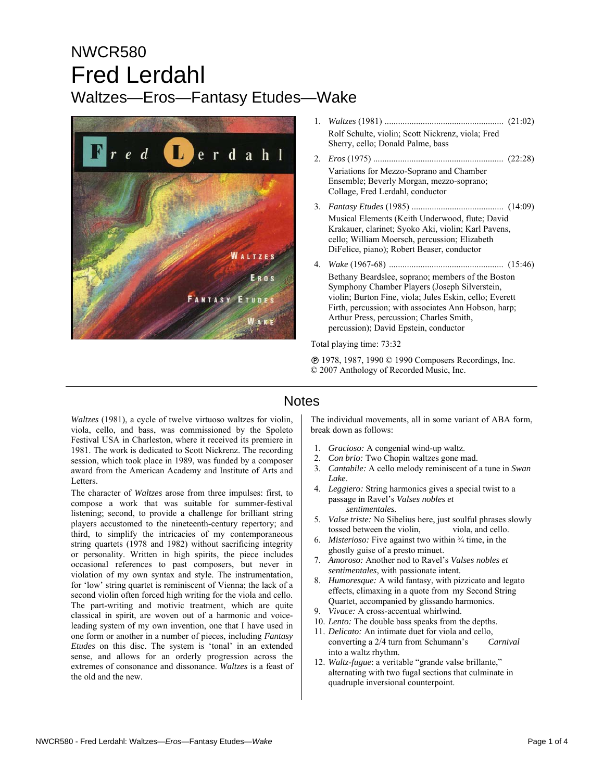# NWCR580 Fred Lerdahl Waltzes—Eros—Fantasy Etudes—Wake



| Rolf Schulte, violin; Scott Nickrenz, viola; Fred<br>Sherry, cello; Donald Palme, bass                                                                                                                |
|-------------------------------------------------------------------------------------------------------------------------------------------------------------------------------------------------------|
| Variations for Mezzo-Soprano and Chamber<br>Ensemble; Beverly Morgan, mezzo-soprano;<br>Collage, Fred Lerdahl, conductor                                                                              |
| Musical Elements (Keith Underwood, flute; David<br>Krakauer, clarinet; Syoko Aki, violin; Karl Pavens,<br>cello; William Moersch, percussion; Elizabeth<br>DiFelice, piano); Robert Beaser, conductor |
| Bethany Beardslee, soprano; members of the Boston                                                                                                                                                     |

Symphony Chamber Players (Joseph Silverstein, violin; Burton Fine, viola; Jules Eskin, cello; Everett Firth, percussion; with associates Ann Hobson, harp; Arthur Press, percussion; Charles Smith, percussion); David Epstein, conductor

Total playing time: 73:32

Ê 1978, 1987, 1990 © 1990 Composers Recordings, Inc. © 2007 Anthology of Recorded Music, Inc.

### **Notes**

*Waltzes* (1981), a cycle of twelve virtuoso waltzes for violin. viola, cello, and bass, was commissioned by the Spoleto Festival USA in Charleston, where it received its premiere in 1981. The work is dedicated to Scott Nickrenz. The recording session, which took place in 1989, was funded by a composer award from the American Academy and Institute of Arts and Letters.

The character of *Waltzes* arose from three impulses: first, to compose a work that was suitable for summer-festival listening; second, to provide a challenge for brilliant string players accustomed to the nineteenth-century repertory; and third, to simplify the intricacies of my contemporaneous string quartets (1978 and 1982) without sacrificing integrity or personality. Written in high spirits, the piece includes occasional references to past composers, but never in violation of my own syntax and style. The instrumentation, for 'low' string quartet is reminiscent of Vienna; the lack of a second violin often forced high writing for the viola and cello. The part-writing and motivic treatment, which are quite classical in spirit, are woven out of a harmonic and voiceleading system of my own invention, one that I have used in one form or another in a number of pieces, including *Fantasy Etudes* on this disc. The system is 'tonal' in an extended sense, and allows for an orderly progression across the extremes of consonance and dissonance. *Waltzes* is a feast of the old and the new.

The individual movements, all in some variant of ABA form, break down as follows:

- 1. *Gracioso:* A congenial wind-up waltz.
- 2. *Con brio:* Two Chopin waltzes gone mad.
- 3. *Cantabile:* A cello melody reminiscent of a tune in *Swan Lake*.
- 4. *Leggiero:* String harmonics gives a special twist to a passage in Ravel's *Valses nobles et sentimentales.*
- 5. *Valse triste:* No Sibelius here, just soulful phrases slowly tossed between the violin, viola, and cello.
- 6. *Misterioso:* Five against two within ¾ time, in the ghostly guise of a presto minuet.
- 7. *Amoroso:* Another nod to Ravel's *Valses nobles et sentimentales*, with passionate intent.
- 8. *Humoresque:* A wild fantasy, with pizzicato and legato effects, climaxing in a quote from my Second String Quartet, accompanied by glissando harmonics.
- 9. *Vivace:* A cross-accentual whirlwind.
- 10. *Lento:* The double bass speaks from the depths.
- 11. *Delicato:* An intimate duet for viola and cello, converting a 2/4 turn from Schumann's *Carnival* into a waltz rhythm.
- 12. *Waltz*-*fugue*: a veritable "grande valse brillante," alternating with two fugal sections that culminate in quadruple inversional counterpoint.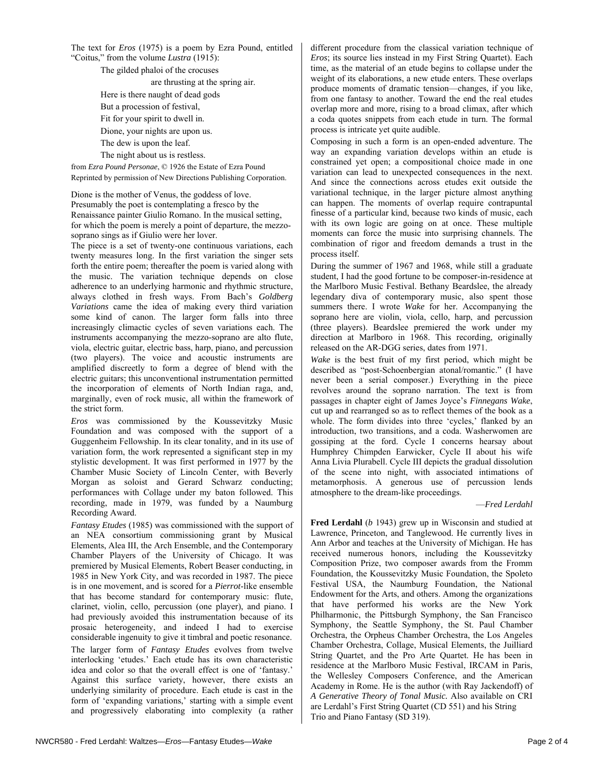The text for *Eros* (1975) is a poem by Ezra Pound, entitled "Coitus," from the volume *Lustra* (1915):

The gilded phaloi of the crocuses are thrusting at the spring air. Here is there naught of dead gods But a procession of festival, Fit for your spirit to dwell in. Dione, your nights are upon us. The dew is upon the leaf. The night about us is restless.

from *Ezra Pound Personae*, © 1926 the Estate of Ezra Pound Reprinted by permission of New Directions Publishing Corporation.

Dione is the mother of Venus, the goddess of love. Presumably the poet is contemplating a fresco by the Renaissance painter Giulio Romano. In the musical setting, for which the poem is merely a point of departure, the mezzosoprano sings as if Giulio were her lover.

The piece is a set of twenty-one continuous variations, each twenty measures long. In the first variation the singer sets forth the entire poem; thereafter the poem is varied along with the music. The variation technique depends on close adherence to an underlying harmonic and rhythmic structure, always clothed in fresh ways. From Bach's *Goldberg Variations* came the idea of making every third variation some kind of canon. The larger form falls into three increasingly climactic cycles of seven variations each. The instruments accompanying the mezzo-soprano are alto flute, viola, electric guitar, electric bass, harp, piano, and percussion (two players). The voice and acoustic instruments are amplified discreetly to form a degree of blend with the electric guitars; this unconventional instrumentation permitted the incorporation of elements of North Indian raga, and, marginally, even of rock music, all within the framework of the strict form.

*Eros* was commissioned by the Koussevitzky Music Foundation and was composed with the support of a Guggenheim Fellowship. In its clear tonality, and in its use of variation form, the work represented a significant step in my stylistic development. It was first performed in 1977 by the Chamber Music Society of Lincoln Center, with Beverly Morgan as soloist and Gerard Schwarz conducting; performances with Collage under my baton followed. This recording, made in 1979, was funded by a Naumburg Recording Award.

*Fantasy Etudes* (1985) was commissioned with the support of an NEA consortium commissioning grant by Musical Elements, Alea III, the Arch Ensemble, and the Contemporary Chamber Players of the University of Chicago. It was premiered by Musical Elements, Robert Beaser conducting, in 1985 in New York City, and was recorded in 1987. The piece is in one movement, and is scored for a *Pierrot*-like ensemble that has become standard for contemporary music: flute, clarinet, violin, cello, percussion (one player), and piano. I had previously avoided this instrumentation because of its prosaic heterogeneity, and indeed I had to exercise considerable ingenuity to give it timbral and poetic resonance. The larger form of *Fantasy Etudes* evolves from twelve interlocking 'etudes.' Each etude has its own characteristic idea and color so that the overall effect is one of 'fantasy.' Against this surface variety, however, there exists an underlying similarity of procedure. Each etude is cast in the form of 'expanding variations,' starting with a simple event and progressively elaborating into complexity (a rather

different procedure from the classical variation technique of *Eros*; its source lies instead in my First String Quartet). Each time, as the material of an etude begins to collapse under the weight of its elaborations, a new etude enters. These overlaps produce moments of dramatic tension—changes, if you like, from one fantasy to another. Toward the end the real etudes overlap more and more, rising to a broad climax, after which a coda quotes snippets from each etude in turn. The formal process is intricate yet quite audible.

Composing in such a form is an open-ended adventure. The way an expanding variation develops within an etude is constrained yet open; a compositional choice made in one variation can lead to unexpected consequences in the next. And since the connections across etudes exit outside the variational technique, in the larger picture almost anything can happen. The moments of overlap require contrapuntal finesse of a particular kind, because two kinds of music, each with its own logic are going on at once. These multiple moments can force the music into surprising channels. The combination of rigor and freedom demands a trust in the process itself.

During the summer of 1967 and 1968, while still a graduate student, I had the good fortune to be composer-in-residence at the Marlboro Music Festival. Bethany Beardslee, the already legendary diva of contemporary music, also spent those summers there. I wrote *Wake* for her. Accompanying the soprano here are violin, viola, cello, harp, and percussion (three players). Beardslee premiered the work under my direction at Marlboro in 1968. This recording, originally released on the AR-DGG series, dates from 1971.

*Wake* is the best fruit of my first period, which might be described as "post-Schoenbergian atonal/romantic." (I have never been a serial composer.) Everything in the piece revolves around the soprano narration. The text is from passages in chapter eight of James Joyce's *Finnegans Wake*, cut up and rearranged so as to reflect themes of the book as a whole. The form divides into three 'cycles,' flanked by an introduction, two transitions, and a coda. Washerwomen are gossiping at the ford. Cycle I concerns hearsay about Humphrey Chimpden Earwicker, Cycle II about his wife Anna Livia Plurabell. Cycle III depicts the gradual dissolution of the scene into night, with associated intimations of metamorphosis. A generous use of percussion lends atmosphere to the dream-like proceedings.

#### —*Fred Lerdahl*

**Fred Lerdahl** (*b* 1943) grew up in Wisconsin and studied at Lawrence, Princeton, and Tanglewood. He currently lives in Ann Arbor and teaches at the University of Michigan. He has received numerous honors, including the Koussevitzky Composition Prize, two composer awards from the Fromm Foundation, the Koussevitzky Music Foundation, the Spoleto Festival USA, the Naumburg Foundation, the National Endowment for the Arts, and others. Among the organizations that have performed his works are the New York Philharmonic, the Pittsburgh Symphony, the San Francisco Symphony, the Seattle Symphony, the St. Paul Chamber Orchestra, the Orpheus Chamber Orchestra, the Los Angeles Chamber Orchestra, Collage, Musical Elements, the Juilliard String Quartet, and the Pro Arte Quartet. He has been in residence at the Marlboro Music Festival, IRCAM in Paris, the Wellesley Composers Conference, and the American Academy in Rome. He is the author (with Ray Jackendoff) of *A Generative Theory of Tonal Music.* Also available on CRI are Lerdahl's First String Quartet (CD 551) and his String Trio and Piano Fantasy (SD 319).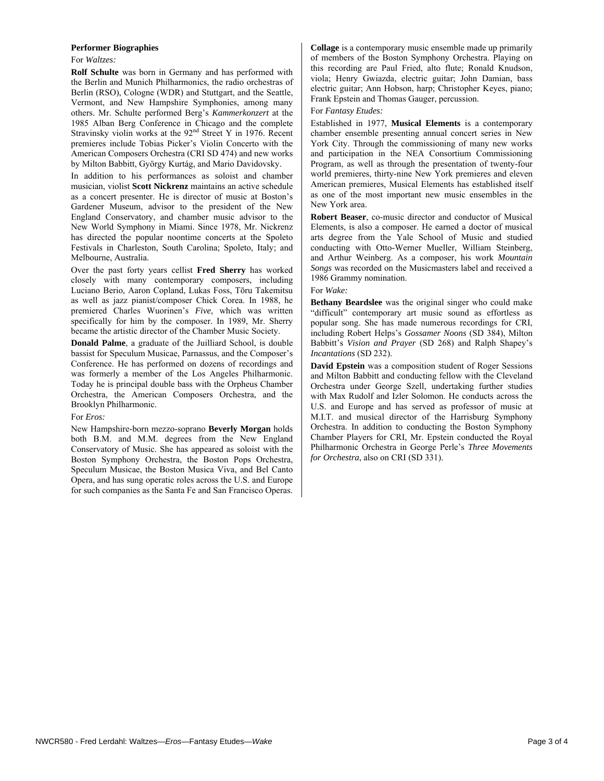#### **Performer Biographies**

#### For *Waltzes:*

**Rolf Schulte** was born in Germany and has performed with the Berlin and Munich Philharmonics, the radio orchestras of Berlin (RSO), Cologne (WDR) and Stuttgart, and the Seattle, Vermont, and New Hampshire Symphonies, among many others. Mr. Schulte performed Berg's *Kammerkonzert* at the 1985 Alban Berg Conference in Chicago and the complete Stravinsky violin works at the 92<sup>nd</sup> Street Y in 1976. Recent premieres include Tobias Picker's Violin Concerto with the American Composers Orchestra (CRI SD 474) and new works by Milton Babbitt, György Kurtág, and Mario Davidovsky.

In addition to his performances as soloist and chamber musician, violist **Scott Nickrenz** maintains an active schedule as a concert presenter. He is director of music at Boston's Gardener Museum, advisor to the president of the New England Conservatory, and chamber music advisor to the New World Symphony in Miami. Since 1978, Mr. Nickrenz has directed the popular noontime concerts at the Spoleto Festivals in Charleston, South Carolina; Spoleto, Italy; and Melbourne, Australia.

Over the past forty years cellist **Fred Sherry** has worked closely with many contemporary composers, including Luciano Berio, Aaron Copland, Lukas Foss, Tōru Takemitsu as well as jazz pianist/composer Chick Corea. In 1988, he premiered Charles Wuorinen's *Five*, which was written specifically for him by the composer. In 1989, Mr. Sherry became the artistic director of the Chamber Music Society.

**Donald Palme**, a graduate of the Juilliard School, is double bassist for Speculum Musicae, Parnassus, and the Composer's Conference. He has performed on dozens of recordings and was formerly a member of the Los Angeles Philharmonic. Today he is principal double bass with the Orpheus Chamber Orchestra, the American Composers Orchestra, and the Brooklyn Philharmonic.

#### For *Eros:*

New Hampshire-born mezzo-soprano **Beverly Morgan** holds both B.M. and M.M. degrees from the New England Conservatory of Music. She has appeared as soloist with the Boston Symphony Orchestra, the Boston Pops Orchestra, Speculum Musicae, the Boston Musica Viva, and Bel Canto Opera, and has sung operatic roles across the U.S. and Europe for such companies as the Santa Fe and San Francisco Operas.

**Collage** is a contemporary music ensemble made up primarily of members of the Boston Symphony Orchestra. Playing on this recording are Paul Fried, alto flute; Ronald Knudson, viola; Henry Gwiazda, electric guitar; John Damian, bass electric guitar; Ann Hobson, harp; Christopher Keyes, piano; Frank Epstein and Thomas Gauger, percussion.

#### For *Fantasy Etudes:*

Established in 1977, **Musical Elements** is a contemporary chamber ensemble presenting annual concert series in New York City. Through the commissioning of many new works and participation in the NEA Consortium Commissioning Program, as well as through the presentation of twenty-four world premieres, thirty-nine New York premieres and eleven American premieres, Musical Elements has established itself as one of the most important new music ensembles in the New York area.

**Robert Beaser**, co-music director and conductor of Musical Elements, is also a composer. He earned a doctor of musical arts degree from the Yale School of Music and studied conducting with Otto-Werner Mueller, William Steinberg, and Arthur Weinberg. As a composer, his work *Mountain Songs* was recorded on the Musicmasters label and received a 1986 Grammy nomination.

#### For *Wake:*

**Bethany Beardslee** was the original singer who could make "difficult" contemporary art music sound as effortless as popular song. She has made numerous recordings for CRI, including Robert Helps's *Gossamer Noons* (SD 384), Milton Babbitt's *Vision and Prayer* (SD 268) and Ralph Shapey's *Incantations* (SD 232).

**David Epstein** was a composition student of Roger Sessions and Milton Babbitt and conducting fellow with the Cleveland Orchestra under George Szell, undertaking further studies with Max Rudolf and Izler Solomon. He conducts across the U.S. and Europe and has served as professor of music at M.I.T. and musical director of the Harrisburg Symphony Orchestra. In addition to conducting the Boston Symphony Chamber Players for CRI, Mr. Epstein conducted the Royal Philharmonic Orchestra in George Perle's *Three Movements for Orchestra*, also on CRI (SD 331).